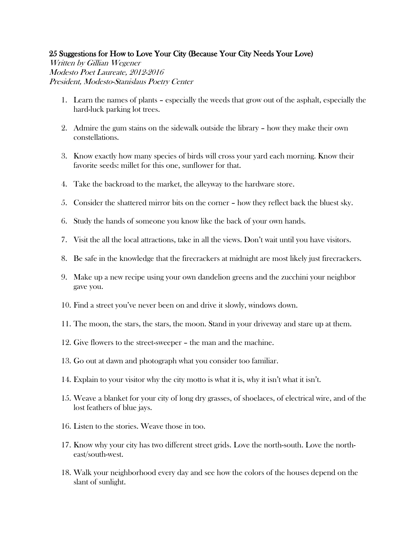## 25 Suggestions for How to Love Your City (Because Your City Needs Your Love)

Written by Gillian Wegener Modesto Poet Laureate, 2012-2016 President, Modesto-Stanislaus Poetry Center

- 1. Learn the names of plants especially the weeds that grow out of the asphalt, especially the hard-luck parking lot trees.
- 2. Admire the gum stains on the sidewalk outside the library how they make their own constellations.
- 3. Know exactly how many species of birds will cross your yard each morning. Know their favorite seeds: millet for this one, sunflower for that.
- 4. Take the backroad to the market, the alleyway to the hardware store.
- 5. Consider the shattered mirror bits on the corner how they reflect back the bluest sky.
- 6. Study the hands of someone you know like the back of your own hands.
- 7. Visit the all the local attractions, take in all the views. Don't wait until you have visitors.
- 8. Be safe in the knowledge that the firecrackers at midnight are most likely just firecrackers.
- 9. Make up a new recipe using your own dandelion greens and the zucchini your neighbor gave you.
- 10. Find a street you've never been on and drive it slowly, windows down.
- 11. The moon, the stars, the stars, the moon. Stand in your driveway and stare up at them.
- 12. Give flowers to the street-sweeper the man and the machine.
- 13. Go out at dawn and photograph what you consider too familiar.
- 14. Explain to your visitor why the city motto is what it is, why it isn't what it isn't.
- 15. Weave a blanket for your city of long dry grasses, of shoelaces, of electrical wire, and of the lost feathers of blue jays.
- 16. Listen to the stories. Weave those in too.
- 17. Know why your city has two different street grids. Love the north-south. Love the northeast/south-west.
- 18. Walk your neighborhood every day and see how the colors of the houses depend on the slant of sunlight.